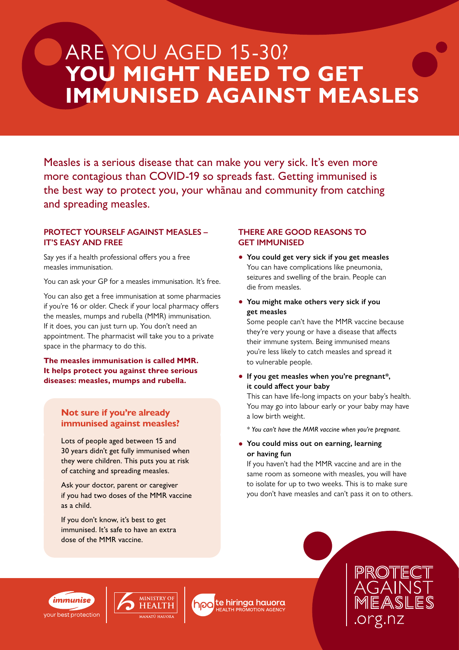# ARE YOU AGED 15-30? **YOU MIGHT NEED TO GET IMMUNISED AGAINST MEASLES**

Measles is a serious disease that can make you very sick. It's even more more contagious than COVID-19 so spreads fast. Getting immunised is the best way to protect you, your whānau and community from catching and spreading measles.

#### **PROTECT YOURSELF AGAINST MEASLES – IT'S EASY AND FREE**

Say yes if a health professional offers you a free measles immunisation.

You can ask your GP for a measles immunisation. It's free.

You can also get a free immunisation at some pharmacies if you're 16 or older. Check if your local pharmacy offers the measles, mumps and rubella (MMR) immunisation. If it does, you can just turn up. You don't need an appointment. The pharmacist will take you to a private space in the pharmacy to do this.

**The measles immunisation is called MMR. It helps protect you against three serious diseases: measles, mumps and rubella.**

### **Not sure if you're already immunised against measles?**

Lots of people aged between 15 and 30 years didn't get fully immunised when they were children. This puts you at risk of catching and spreading measles.

Ask your doctor, parent or caregiver if you had two doses of the MMR vaccine as a child.

If you don't know, it's best to get immunised. It's safe to have an extra dose of the MMR vaccine.

#### **THERE ARE GOOD REASONS TO GET IMMUNISED**

- **• You could get very sick if you get measles** You can have complications like pneumonia, seizures and swelling of the brain. People can die from measles.
- **• You might make others very sick if you get measles**

Some people can't have the MMR vaccine because they're very young or have a disease that affects their immune system. Being immunised means you're less likely to catch measles and spread it to vulnerable people.

**• If you get measles when you're pregnant\*, it could affect your baby**

This can have life-long impacts on your baby's health. You may go into labour early or your baby may have a low birth weight.

*\* You can't have the MMR vaccine when you're pregnant.* 

**• You could miss out on earning, learning or having fun** 

If you haven't had the MMR vaccine and are in the same room as someone with measles, you will have to isolate for up to two weeks. This is to make sure you don't have measles and can't pass it on to others.